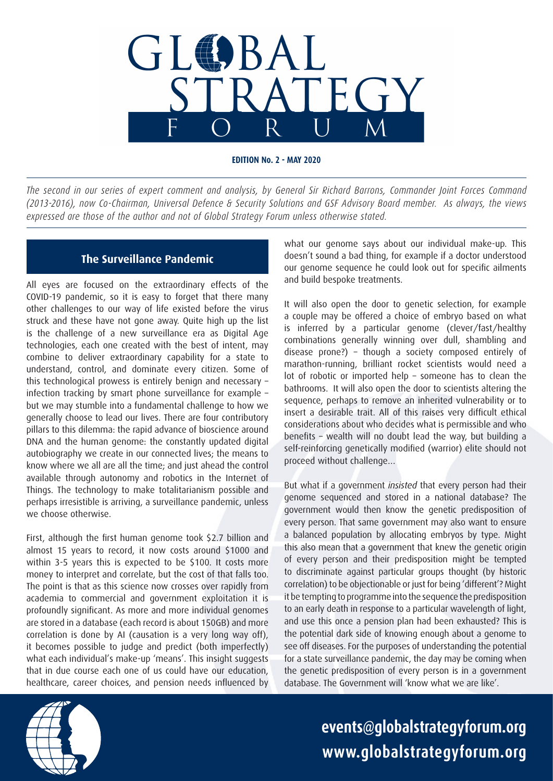

**EDITION No. 2 - MAY 2020**

*The second in our series of expert comment and analysis, by General Sir Richard Barrons, Commander Joint Forces Command (2013-2016), now Co-Chairman, Universal Defence & Security Solutions and GSF Advisory Board member. As always, the views expressed are those of the author and not of Global Strategy Forum unless otherwise stated.*

## **The Surveillance Pandemic**

All eyes are focused on the extraordinary effects of the COVID-19 pandemic, so it is easy to forget that there many other challenges to our way of life existed before the virus struck and these have not gone away. Quite high up the list is the challenge of a new surveillance era as Digital Age technologies, each one created with the best of intent, may combine to deliver extraordinary capability for a state to understand, control, and dominate every citizen. Some of this technological prowess is entirely benign and necessary – infection tracking by smart phone surveillance for example – but we may stumble into a fundamental challenge to how we generally choose to lead our lives. There are four contributory pillars to this dilemma: the rapid advance of bioscience around DNA and the human genome: the constantly updated digital autobiography we create in our connected lives; the means to know where we all are all the time; and just ahead the control available through autonomy and robotics in the Internet of Things. The technology to make totalitarianism possible and perhaps irresistible is arriving, a surveillance pandemic, unless we choose otherwise.

First, although the first human genome took \$2.7 billion and almost 15 years to record, it now costs around \$1000 and within 3-5 years this is expected to be \$100. It costs more money to interpret and correlate, but the cost of that falls too. The point is that as this science now crosses over rapidly from academia to commercial and government exploitation it is profoundly significant. As more and more individual genomes are stored in a database (each record is about 150GB) and more correlation is done by AI (causation is a very long way off), it becomes possible to judge and predict (both imperfectly) what each individual's make-up 'means'. This insight suggests that in due course each one of us could have our education, healthcare, career choices, and pension needs influenced by

what our genome says about our individual make-up. This doesn't sound a bad thing, for example if a doctor understood our genome sequence he could look out for specific ailments and build bespoke treatments.

It will also open the door to genetic selection, for example a couple may be offered a choice of embryo based on what is inferred by a particular genome (clever/fast/healthy combinations generally winning over dull, shambling and disease prone?) – though a society composed entirely of marathon-running, brilliant rocket scientists would need a lot of robotic or imported help – someone has to clean the bathrooms. It will also open the door to scientists altering the sequence, perhaps to remove an inherited vulnerability or to insert a desirable trait. All of this raises very difficult ethical considerations about who decides what is permissible and who benefits – wealth will no doubt lead the way, but building a self-reinforcing genetically modified (warrior) elite should not proceed without challenge…

But what if a government *insisted* that every person had their genome sequenced and stored in a national database? The government would then know the genetic predisposition of every person. That same government may also want to ensure a balanced population by allocating embryos by type. Might this also mean that a government that knew the genetic origin of every person and their predisposition might be tempted to discriminate against particular groups thought (by historic correlation) to be objectionable or just for being 'different'? Might it be tempting to programme into the sequence the predisposition to an early death in response to a particular wavelength of light, and use this once a pension plan had been exhausted? This is the potential dark side of knowing enough about a genome to see off diseases. For the purposes of understanding the potential for a state surveillance pandemic, the day may be coming when the genetic predisposition of every person is in a government database. The Government will 'know what we are like'.



**events@globalstrategyforum.org www.globalstrategyforum.org**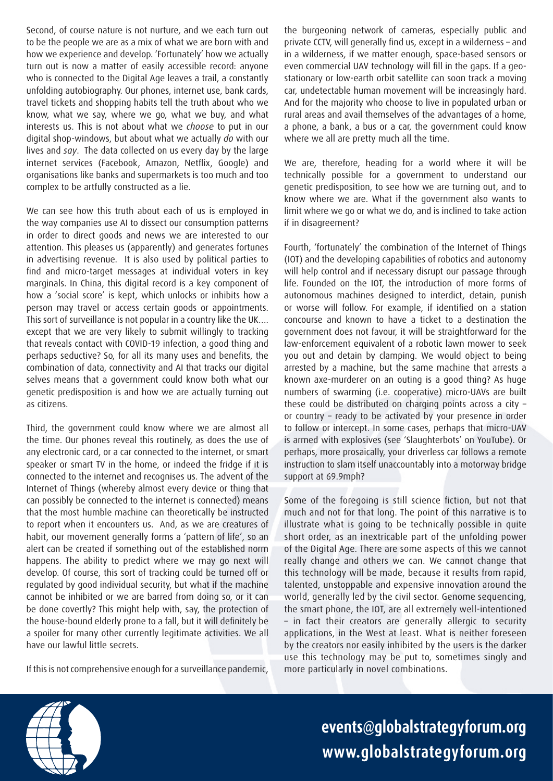Second, of course nature is not nurture, and we each turn out to be the people we are as a mix of what we are born with and how we experience and develop. 'Fortunately' how we actually turn out is now a matter of easily accessible record: anyone who is connected to the Digital Age leaves a trail, a constantly unfolding autobiography. Our phones, internet use, bank cards, travel tickets and shopping habits tell the truth about who we know, what we say, where we go, what we buy, and what interests us. This is not about what we *choose* to put in our digital shop-windows, but about what we actually *do* with our lives and *say*. The data collected on us every day by the large internet services (Facebook, Amazon, Netflix, Google) and organisations like banks and supermarkets is too much and too complex to be artfully constructed as a lie.

We can see how this truth about each of us is employed in the way companies use AI to dissect our consumption patterns in order to direct goods and news we are interested to our attention. This pleases us (apparently) and generates fortunes in advertising revenue. It is also used by political parties to find and micro-target messages at individual voters in key marginals. In China, this digital record is a key component of how a 'social score' is kept, which unlocks or inhibits how a person may travel or access certain goods or appointments. This sort of surveillance is not popular in a country like the UK…. except that we are very likely to submit willingly to tracking that reveals contact with COVID-19 infection, a good thing and perhaps seductive? So, for all its many uses and benefits, the combination of data, connectivity and AI that tracks our digital selves means that a government could know both what our genetic predisposition is and how we are actually turning out as citizens.

Third, the government could know where we are almost all the time. Our phones reveal this routinely, as does the use of any electronic card, or a car connected to the internet, or smart speaker or smart TV in the home, or indeed the fridge if it is connected to the internet and recognises us. The advent of the Internet of Things (whereby almost every device or thing that can possibly be connected to the internet is connected) means that the most humble machine can theoretically be instructed to report when it encounters us. And, as we are creatures of habit, our movement generally forms a 'pattern of life', so an alert can be created if something out of the established norm happens. The ability to predict where we may go next will develop. Of course, this sort of tracking could be turned off or regulated by good individual security, but what if the machine cannot be inhibited or we are barred from doing so, or it can be done covertly? This might help with, say, the protection of the house-bound elderly prone to a fall, but it will definitely be a spoiler for many other currently legitimate activities. We all have our lawful little secrets.

If this is not comprehensive enough for a surveillance pandemic,

the burgeoning network of cameras, especially public and private CCTV, will generally find us, except in a wilderness – and in a wilderness, if we matter enough, space-based sensors or even commercial UAV technology will fill in the gaps. If a geostationary or low-earth orbit satellite can soon track a moving car, undetectable human movement will be increasingly hard. And for the majority who choose to live in populated urban or rural areas and avail themselves of the advantages of a home, a phone, a bank, a bus or a car, the government could know where we all are pretty much all the time.

We are, therefore, heading for a world where it will be technically possible for a government to understand our genetic predisposition, to see how we are turning out, and to know where we are. What if the government also wants to limit where we go or what we do, and is inclined to take action if in disagreement?

Fourth, 'fortunately' the combination of the Internet of Things (IOT) and the developing capabilities of robotics and autonomy will help control and if necessary disrupt our passage through life. Founded on the IOT, the introduction of more forms of autonomous machines designed to interdict, detain, punish or worse will follow. For example, if identified on a station concourse and known to have a ticket to a destination the government does not favour, it will be straightforward for the law-enforcement equivalent of a robotic lawn mower to seek you out and detain by clamping. We would object to being arrested by a machine, but the same machine that arrests a known axe-murderer on an outing is a good thing? As huge numbers of swarming (i.e. cooperative) micro-UAVs are built these could be distributed on charging points across a city – or country – ready to be activated by your presence in order to follow or intercept. In some cases, perhaps that micro-UAV is armed with explosives (see 'Slaughterbots' on YouTube). Or perhaps, more prosaically, your driverless car follows a remote instruction to slam itself unaccountably into a motorway bridge support at 69.9mph?

Some of the foregoing is still science fiction, but not that much and not for that long. The point of this narrative is to illustrate what is going to be technically possible in quite short order, as an inextricable part of the unfolding power of the Digital Age. There are some aspects of this we cannot really change and others we can. We cannot change that this technology will be made, because it results from rapid, talented, unstoppable and expensive innovation around the world, generally led by the civil sector. Genome sequencing, the smart phone, the IOT, are all extremely well-intentioned – in fact their creators are generally allergic to security applications, in the West at least. What is neither foreseen by the creators nor easily inhibited by the users is the darker use this technology may be put to, sometimes singly and more particularly in novel combinations.



**events@globalstrategyforum.org www.globalstrategyforum.org**